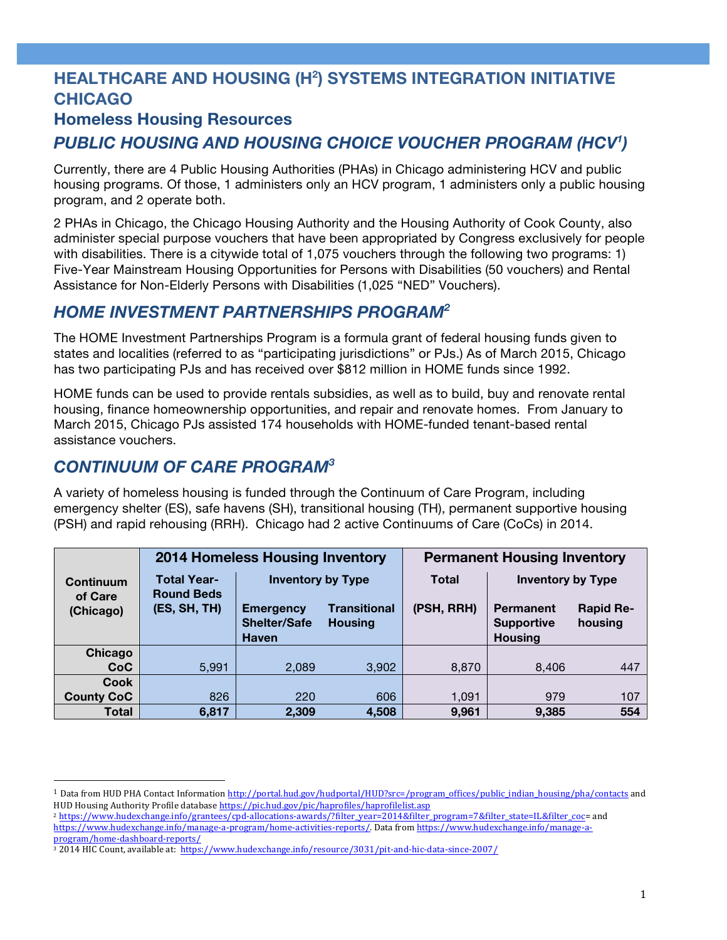# **HEALTHCARE AND HOUSING (H<sup>2</sup>) SYSTEMS INTEGRATION INITIATIVE CHICAGO**

## **Homeless Housing Resources**

# *PUBLIC HOUSING AND HOUSING CHOICE VOUCHER PROGRAM (HCV1 )*

Currently, there are 4 Public Housing Authorities (PHAs) in Chicago administering HCV and public housing programs. Of those, 1 administers only an HCV program, 1 administers only a public housing program, and 2 operate both.

2 PHAs in Chicago, the Chicago Housing Authority and the Housing Authority of Cook County, also administer special purpose vouchers that have been appropriated by Congress exclusively for people with disabilities. There is a citywide total of 1,075 vouchers through the following two programs: 1) Five-Year Mainstream Housing Opportunities for Persons with Disabilities (50 vouchers) and Rental Assistance for Non-Elderly Persons with Disabilities (1,025 "NED" Vouchers).

## *HOME INVESTMENT PARTNERSHIPS PROGRAM2*

The HOME Investment Partnerships Program is a formula grant of federal housing funds given to states and localities (referred to as "participating jurisdictions" or PJs.) As of March 2015, Chicago has two participating PJs and has received over \$812 million in HOME funds since 1992.

HOME funds can be used to provide rentals subsidies, as well as to build, buy and renovate rental housing, finance homeownership opportunities, and repair and renovate homes. From January to March 2015, Chicago PJs assisted 174 households with HOME-funded tenant-based rental assistance vouchers.

## *CONTINUUM OF CARE PROGRAM3*

 

A variety of homeless housing is funded through the Continuum of Care Program, including emergency shelter (ES), safe havens (SH), transitional housing (TH), permanent supportive housing (PSH) and rapid rehousing (RRH). Chicago had 2 active Continuums of Care (CoCs) in 2014.

|                      | <b>2014 Homeless Housing Inventory</b>                  |                                                         |                                       | <b>Permanent Housing Inventory</b> |                                                  |                             |  |
|----------------------|---------------------------------------------------------|---------------------------------------------------------|---------------------------------------|------------------------------------|--------------------------------------------------|-----------------------------|--|
| Continuum<br>of Care | <b>Total Year-</b><br><b>Round Beds</b><br>(ES, SH, TH) | <b>Inventory by Type</b>                                |                                       | Total                              |                                                  | <b>Inventory by Type</b>    |  |
| (Chicago)            |                                                         | <b>Emergency</b><br><b>Shelter/Safe</b><br><b>Haven</b> | <b>Transitional</b><br><b>Housing</b> | (PSH, RRH)                         | Permanent<br><b>Supportive</b><br><b>Housing</b> | <b>Rapid Re-</b><br>housing |  |
| Chicago              |                                                         |                                                         |                                       |                                    |                                                  |                             |  |
| CoC                  | 5,991                                                   | 2,089                                                   | 3,902                                 | 8,870                              | 8,406                                            | 447                         |  |
| <b>Cook</b>          |                                                         |                                                         |                                       |                                    |                                                  |                             |  |
| <b>County CoC</b>    | 826                                                     | 220                                                     | 606                                   | 1,091                              | 979                                              | 107                         |  |
| <b>Total</b>         | 6,817                                                   | 2,309                                                   | 4,508                                 | 9,961                              | 9,385                                            | 554                         |  |

<sup>&</sup>lt;sup>1</sup> Data from HUD PHA Contact Information [http://portal.hud.gov/hudportal/HUD?src=/program\\_offices/public\\_indian\\_housing/pha/co](http://portal.hud.gov/hudportal/HUD?src=/program_offices/public_indian_housing/pha/contactsHUD)[ntacts](http://portal.hud.gov/hudportal/HUD?src=/program_offices/public_indian_housing/pha/contacts) and HUD Housing Authority Profile database <https://pic.hud.gov/pic/haprofiles/haprofilelist.asp>

<sup>&</sup>lt;sup>2</sup> https://www.hudexchange.info/grantees/cpd-allocations-awards/?filter\_year=2014&filter\_program=7&filter\_state=IL&filter\_coc= and https://www.hudexchange.info/manage-a-program/home-activities-reports/. Data from https://www.hudexchange.info/manage-a[program/home-dashboard-reports/](https://www.hudexchange.info/manage-a-program/home-dashboard-reports)

<sup>&</sup>lt;sup>3</sup> 2014 HIC Count, available at: https://www.hudexchange.info/resource/3031/pit-and-hic-data-since-2007/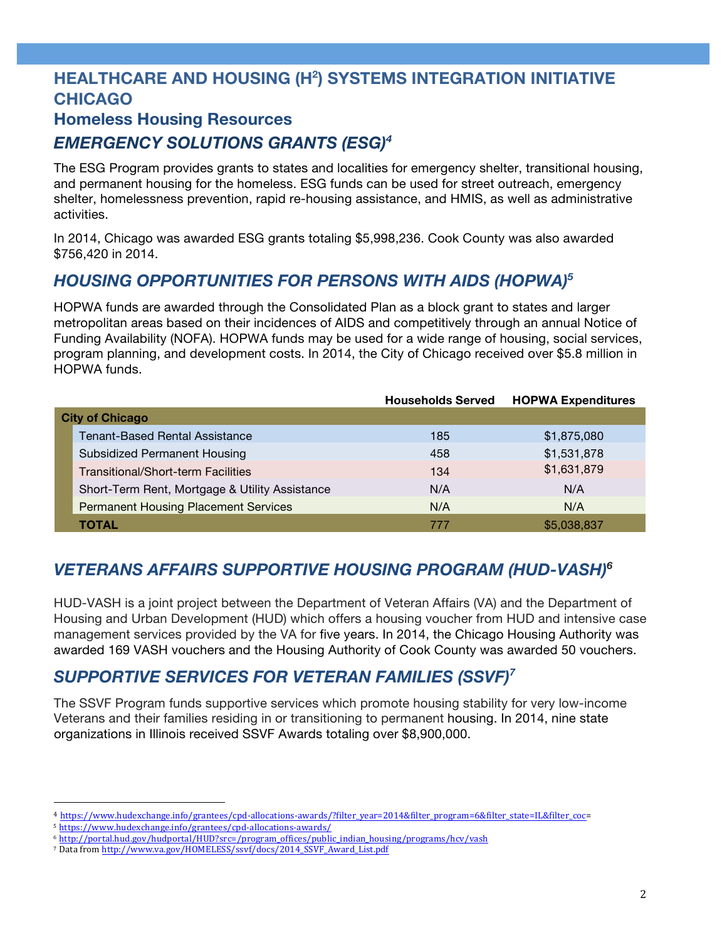## **HEALTHCARE AND HOUSING (H<sup>2</sup>) SYSTEMS INTEGRATION INITIATIVE CHICAGO Homeless Housing Resources**

# *EMERGENCY SOLUTIONS GRANTS (ESG)4*

The ESG Program provides grants to states and localities for emergency shelter, transitional housing, and permanent housing for the homeless. ESG funds can be used for street outreach, emergency shelter, homelessness prevention, rapid re-housing assistance, and HMIS, as well as administrative activities.

In 2014, Chicago was awarded ESG grants totaling \$5,998,236. Cook County was also awarded \$756,420 in 2014.

# *HOUSING OPPORTUNITIES FOR PERSONS WITH AIDS (HOPWA)5*

HOPWA funds are awarded through the Consolidated Plan as a block grant to states and larger metropolitan areas based on their incidences of AIDS and competitively through an annual Notice of Funding Availability (NOFA). HOPWA funds may be used for a wide range of housing, social services, program planning, and development costs. In 2014, the City of Chicago received over \$5.8 million in HOPWA funds.

|                        |                                                | <b>Households Served</b> | <b>HOPWA Expenditures</b> |  |  |  |
|------------------------|------------------------------------------------|--------------------------|---------------------------|--|--|--|
| <b>City of Chicago</b> |                                                |                          |                           |  |  |  |
|                        | <b>Tenant-Based Rental Assistance</b>          | 185                      | \$1,875,080               |  |  |  |
|                        | <b>Subsidized Permanent Housing</b>            | 458                      | \$1,531,878               |  |  |  |
|                        | <b>Transitional/Short-term Facilities</b>      | 134                      | \$1,631,879               |  |  |  |
|                        | Short-Term Rent, Mortgage & Utility Assistance | N/A                      | N/A                       |  |  |  |
|                        | <b>Permanent Housing Placement Services</b>    | N/A                      | N/A                       |  |  |  |
|                        | TOTAL                                          | 777                      | \$5,038,837               |  |  |  |

# *VETERANS AFFAIRS SUPPORTIVE HOUSING PROGRAM (HUD-VASH) 6*

HUD-VASH is a joint project between the Department of Veteran Affairs (VA) and the Department of Housing and Urban Development (HUD) which offers a housing voucher from HUD and intensive case management services provided by the VA for five years. In 2014, the Chicago Housing Authority was awarded 169 VASH vouchers and the Housing Authority of Cook County was awarded 50 vouchers.

# *<sup>7</sup> SUPPORTIVE SERVICES FOR VETERAN FAMILIES (SSVF)*

The SSVF Program funds supportive services which promote housing stability for very low-income Veterans and their families residing in or transitioning to permanent housing. In 2014, nine state organizations in Illinois received SSVF Awards totaling over \$8,900,000.

 

<sup>4</sup> https://www.hudexchange.info/grantees/cpd-allocations-awards/?filter\_year=2014&filter\_program=6&filter\_state=IL&filter\_coc=

<sup>5</sup> <https://www.hudexchange.info/grantees/cpd-allocations-awards/>

<sup>6</sup> [http://portal.hud.gov/hudportal/HUD?src=/program\\_offices/public\\_indian\\_housing/programs/hcv/vash](http://portal.hud.gov/hudportal/HUD?src=/program_offices/public_indian_housing/programs/hcv/vash) 

<sup>&</sup>lt;sup>7</sup> Data from http://www.va.gov/HOMELESS/ssvf/docs/2014\_SSVF\_Award\_List.pdf